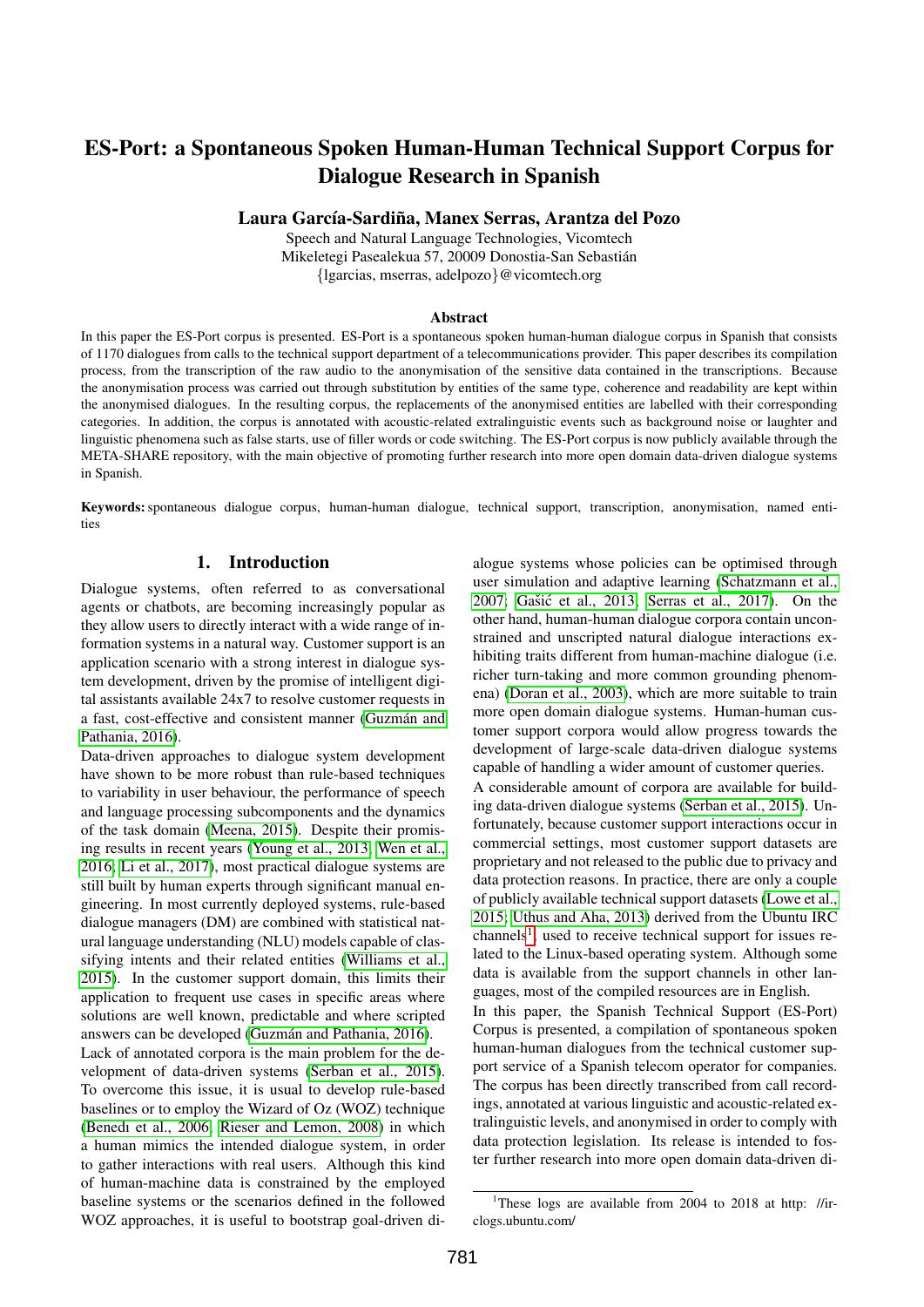# ES-Port: a Spontaneous Spoken Human-Human Technical Support Corpus for Dialogue Research in Spanish

Laura García-Sardiña, Manex Serras, Arantza del Pozo

Speech and Natural Language Technologies, Vicomtech Mikeletegi Pasealekua 57, 20009 Donostia-San Sebastian´ {lgarcias, mserras, adelpozo}@vicomtech.org

#### Abstract

In this paper the ES-Port corpus is presented. ES-Port is a spontaneous spoken human-human dialogue corpus in Spanish that consists of 1170 dialogues from calls to the technical support department of a telecommunications provider. This paper describes its compilation process, from the transcription of the raw audio to the anonymisation of the sensitive data contained in the transcriptions. Because the anonymisation process was carried out through substitution by entities of the same type, coherence and readability are kept within the anonymised dialogues. In the resulting corpus, the replacements of the anonymised entities are labelled with their corresponding categories. In addition, the corpus is annotated with acoustic-related extralinguistic events such as background noise or laughter and linguistic phenomena such as false starts, use of filler words or code switching. The ES-Port corpus is now publicly available through the META-SHARE repository, with the main objective of promoting further research into more open domain data-driven dialogue systems in Spanish.

Keywords:spontaneous dialogue corpus, human-human dialogue, technical support, transcription, anonymisation, named entities

#### 1. Introduction

Dialogue systems, often referred to as conversational agents or chatbots, are becoming increasingly popular as they allow users to directly interact with a wide range of information systems in a natural way. Customer support is an application scenario with a strong interest in dialogue system development, driven by the promise of intelligent digital assistants available 24x7 to resolve customer requests in a fast, cost-effective and consistent manner (Guzmán and [Pathania, 2016\)](#page-4-0).

Data-driven approaches to dialogue system development have shown to be more robust than rule-based techniques to variability in user behaviour, the performance of speech and language processing subcomponents and the dynamics of the task domain [\(Meena, 2015\)](#page-4-1). Despite their promising results in recent years [\(Young et al., 2013;](#page-4-2) [Wen et al.,](#page-4-3) [2016;](#page-4-3) [Li et al., 2017\)](#page-4-4), most practical dialogue systems are still built by human experts through significant manual engineering. In most currently deployed systems, rule-based dialogue managers (DM) are combined with statistical natural language understanding (NLU) models capable of classifying intents and their related entities [\(Williams et al.,](#page-4-5) [2015\)](#page-4-5). In the customer support domain, this limits their application to frequent use cases in specific areas where solutions are well known, predictable and where scripted answers can be developed (Guzmán and Pathania, 2016).

Lack of annotated corpora is the main problem for the development of data-driven systems [\(Serban et al., 2015\)](#page-4-6). To overcome this issue, it is usual to develop rule-based baselines or to employ the Wizard of Oz (WOZ) technique [\(Benedı et al., 2006;](#page-4-7) [Rieser and Lemon, 2008\)](#page-4-8) in which a human mimics the intended dialogue system, in order to gather interactions with real users. Although this kind of human-machine data is constrained by the employed baseline systems or the scenarios defined in the followed WOZ approaches, it is useful to bootstrap goal-driven dialogue systems whose policies can be optimised through user simulation and adaptive learning [\(Schatzmann et al.,](#page-4-9) [2007;](#page-4-9) Gašić et al., 2013; [Serras et al., 2017\)](#page-4-11). On the other hand, human-human dialogue corpora contain unconstrained and unscripted natural dialogue interactions exhibiting traits different from human-machine dialogue (i.e. richer turn-taking and more common grounding phenomena) [\(Doran et al., 2003\)](#page-4-12), which are more suitable to train more open domain dialogue systems. Human-human customer support corpora would allow progress towards the development of large-scale data-driven dialogue systems capable of handling a wider amount of customer queries. A considerable amount of corpora are available for building data-driven dialogue systems [\(Serban et al., 2015\)](#page-4-6). Unfortunately, because customer support interactions occur in commercial settings, most customer support datasets are proprietary and not released to the public due to privacy and data protection reasons. In practice, there are only a couple of publicly available technical support datasets [\(Lowe et al.,](#page-4-13) [2015;](#page-4-13) [Uthus and Aha, 2013\)](#page-4-14) derived from the Ubuntu IRC channels<sup>[1](#page-0-0)</sup>, used to receive technical support for issues related to the Linux-based operating system. Although some data is available from the support channels in other languages, most of the compiled resources are in English. In this paper, the Spanish Technical Support (ES-Port) Corpus is presented, a compilation of spontaneous spoken human-human dialogues from the technical customer support service of a Spanish telecom operator for companies. The corpus has been directly transcribed from call recordings, annotated at various linguistic and acoustic-related extralinguistic levels, and anonymised in order to comply with data protection legislation. Its release is intended to foster further research into more open domain data-driven di-

<span id="page-0-0"></span><sup>&</sup>lt;sup>1</sup>These logs are available from 2004 to 2018 at http: //irclogs.ubuntu.com/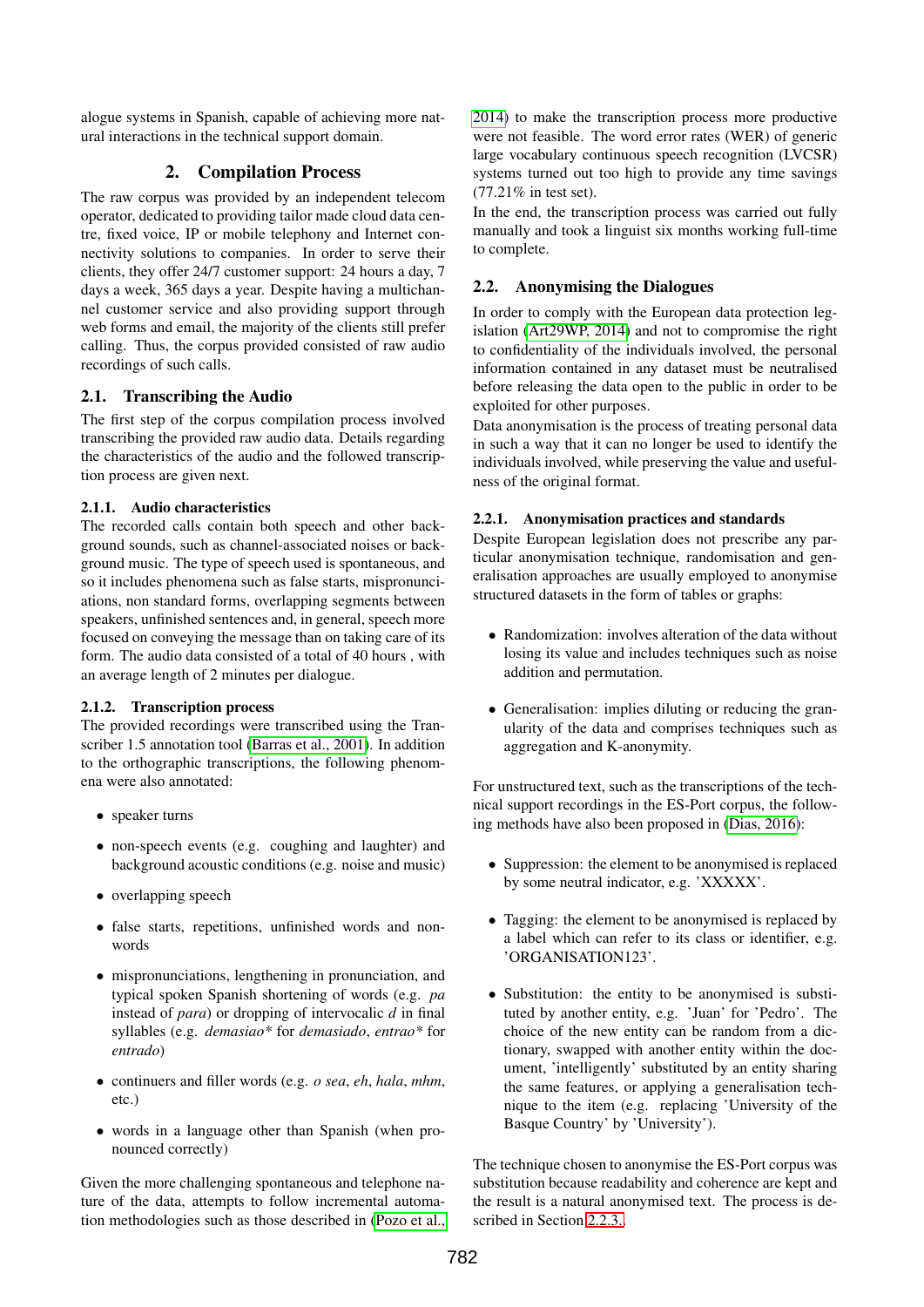alogue systems in Spanish, capable of achieving more natural interactions in the technical support domain.

## 2. Compilation Process

The raw corpus was provided by an independent telecom operator, dedicated to providing tailor made cloud data centre, fixed voice, IP or mobile telephony and Internet connectivity solutions to companies. In order to serve their clients, they offer 24/7 customer support: 24 hours a day, 7 days a week, 365 days a year. Despite having a multichannel customer service and also providing support through web forms and email, the majority of the clients still prefer calling. Thus, the corpus provided consisted of raw audio recordings of such calls.

## 2.1. Transcribing the Audio

The first step of the corpus compilation process involved transcribing the provided raw audio data. Details regarding the characteristics of the audio and the followed transcription process are given next.

### 2.1.1. Audio characteristics

The recorded calls contain both speech and other background sounds, such as channel-associated noises or background music. The type of speech used is spontaneous, and so it includes phenomena such as false starts, mispronunciations, non standard forms, overlapping segments between speakers, unfinished sentences and, in general, speech more focused on conveying the message than on taking care of its form. The audio data consisted of a total of 40 hours , with an average length of 2 minutes per dialogue.

## 2.1.2. Transcription process

The provided recordings were transcribed using the Transcriber 1.5 annotation tool [\(Barras et al., 2001\)](#page-4-15). In addition to the orthographic transcriptions, the following phenomena were also annotated:

- speaker turns
- non-speech events (e.g. coughing and laughter) and background acoustic conditions (e.g. noise and music)
- overlapping speech
- false starts, repetitions, unfinished words and nonwords
- mispronunciations, lengthening in pronunciation, and typical spoken Spanish shortening of words (e.g. *pa* instead of *para*) or dropping of intervocalic *d* in final syllables (e.g. *demasiao\** for *demasiado*, *entrao\** for *entrado*)
- continuers and filler words (e.g. *o sea*, *eh*, *hala*, *mhm*, etc.)
- words in a language other than Spanish (when pronounced correctly)

Given the more challenging spontaneous and telephone nature of the data, attempts to follow incremental automation methodologies such as those described in [\(Pozo et al.,](#page-4-16)

[2014\)](#page-4-16) to make the transcription process more productive were not feasible. The word error rates (WER) of generic large vocabulary continuous speech recognition (LVCSR) systems turned out too high to provide any time savings (77.21% in test set).

In the end, the transcription process was carried out fully manually and took a linguist six months working full-time to complete.

## 2.2. Anonymising the Dialogues

In order to comply with the European data protection legislation [\(Art29WP, 2014\)](#page-4-17) and not to compromise the right to confidentiality of the individuals involved, the personal information contained in any dataset must be neutralised before releasing the data open to the public in order to be exploited for other purposes.

Data anonymisation is the process of treating personal data in such a way that it can no longer be used to identify the individuals involved, while preserving the value and usefulness of the original format.

## 2.2.1. Anonymisation practices and standards

Despite European legislation does not prescribe any particular anonymisation technique, randomisation and generalisation approaches are usually employed to anonymise structured datasets in the form of tables or graphs:

- Randomization: involves alteration of the data without losing its value and includes techniques such as noise addition and permutation.
- Generalisation: implies diluting or reducing the granularity of the data and comprises techniques such as aggregation and K-anonymity.

For unstructured text, such as the transcriptions of the technical support recordings in the ES-Port corpus, the following methods have also been proposed in [\(Dias, 2016\)](#page-4-18):

- Suppression: the element to be anonymised is replaced by some neutral indicator, e.g. 'XXXXX'.
- Tagging: the element to be anonymised is replaced by a label which can refer to its class or identifier, e.g. 'ORGANISATION123'.
- Substitution: the entity to be anonymised is substituted by another entity, e.g. 'Juan' for 'Pedro'. The choice of the new entity can be random from a dictionary, swapped with another entity within the document, 'intelligently' substituted by an entity sharing the same features, or applying a generalisation technique to the item (e.g. replacing 'University of the Basque Country' by 'University').

The technique chosen to anonymise the ES-Port corpus was substitution because readability and coherence are kept and the result is a natural anonymised text. The process is described in Section [2.2.3..](#page-2-0)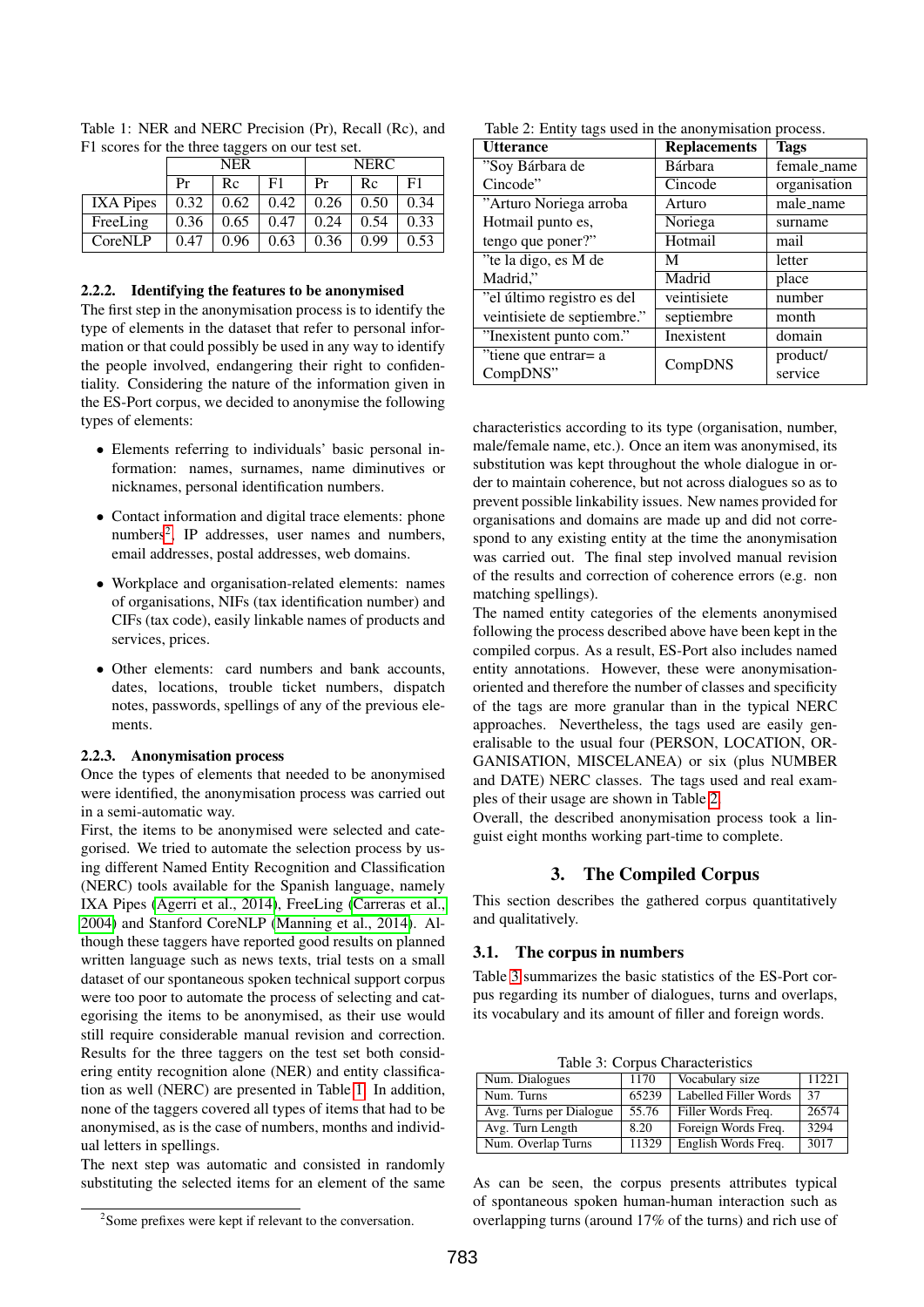|                  | F1 scores for the three taggers on our test set.<br><b>NER</b> |      |      | <b>NERC</b> |      |      |
|------------------|----------------------------------------------------------------|------|------|-------------|------|------|
|                  | Pr                                                             | Rc   | F1   | Pr          | Rc   | F1   |
| <b>IXA</b> Pipes | 0.32                                                           | 0.62 | 0.42 | 0.26        | 0.50 | 0.34 |
| FreeLing         | 0.36                                                           | 0.65 | 0.47 | 0.24        | 0.54 | 0.33 |
| CoreNLP          | 0.47                                                           | 0.96 | 0.63 | 0.36        | 0.99 | 0.53 |

<span id="page-2-2"></span>Table 1: NER and NERC Precision (Pr), Recall (Rc), and  $\epsilon$  for the th

#### 2.2.2. Identifying the features to be anonymised

The first step in the anonymisation process is to identify the type of elements in the dataset that refer to personal information or that could possibly be used in any way to identify the people involved, endangering their right to confidentiality. Considering the nature of the information given in the ES-Port corpus, we decided to anonymise the following types of elements:

- Elements referring to individuals' basic personal information: names, surnames, name diminutives or nicknames, personal identification numbers.
- Contact information and digital trace elements: phone numbers<sup>[2](#page-2-1)</sup>, IP addresses, user names and numbers, email addresses, postal addresses, web domains.
- Workplace and organisation-related elements: names of organisations, NIFs (tax identification number) and CIFs (tax code), easily linkable names of products and services, prices.
- Other elements: card numbers and bank accounts, dates, locations, trouble ticket numbers, dispatch notes, passwords, spellings of any of the previous elements.

#### <span id="page-2-0"></span>2.2.3. Anonymisation process

Once the types of elements that needed to be anonymised were identified, the anonymisation process was carried out in a semi-automatic way.

First, the items to be anonymised were selected and categorised. We tried to automate the selection process by using different Named Entity Recognition and Classification (NERC) tools available for the Spanish language, namely IXA Pipes [\(Agerri et al., 2014\)](#page-4-19), FreeLing [\(Carreras et al.,](#page-4-20) [2004\)](#page-4-20) and Stanford CoreNLP [\(Manning et al., 2014\)](#page-4-21). Although these taggers have reported good results on planned written language such as news texts, trial tests on a small dataset of our spontaneous spoken technical support corpus were too poor to automate the process of selecting and categorising the items to be anonymised, as their use would still require considerable manual revision and correction. Results for the three taggers on the test set both considering entity recognition alone (NER) and entity classification as well (NERC) are presented in Table [1.](#page-2-2) In addition, none of the taggers covered all types of items that had to be anonymised, as is the case of numbers, months and individual letters in spellings.

The next step was automatic and consisted in randomly substituting the selected items for an element of the same

<span id="page-2-3"></span>Table 2: Entity tags used in the anonymisation process.

| <b>Utterance</b>            | <b>Replacements</b> | <b>Tags</b>  |  |
|-----------------------------|---------------------|--------------|--|
| "Soy Bárbara de             | Bárbara             | female_name  |  |
| Cincode"                    | Cincode             | organisation |  |
| "Arturo Noriega arroba      | Arturo              | male_name    |  |
| Hotmail punto es,           | Noriega             | surname      |  |
| tengo que poner?"           | Hotmail             | mail         |  |
| "te la digo, es M de        | M                   | letter       |  |
| Madrid,"                    | Madrid              | place        |  |
| "el último registro es del  | veintisiete         | number       |  |
| veintisiete de septiembre." | septiembre          | month        |  |
| "Inexistent punto com."     | Inexistent          | domain       |  |
| "tiene que entrar= a        | CompDNS             | product/     |  |
| CompDNS"                    |                     | service      |  |

characteristics according to its type (organisation, number, male/female name, etc.). Once an item was anonymised, its substitution was kept throughout the whole dialogue in order to maintain coherence, but not across dialogues so as to prevent possible linkability issues. New names provided for organisations and domains are made up and did not correspond to any existing entity at the time the anonymisation was carried out. The final step involved manual revision of the results and correction of coherence errors (e.g. non matching spellings).

The named entity categories of the elements anonymised following the process described above have been kept in the compiled corpus. As a result, ES-Port also includes named entity annotations. However, these were anonymisationoriented and therefore the number of classes and specificity of the tags are more granular than in the typical NERC approaches. Nevertheless, the tags used are easily generalisable to the usual four (PERSON, LOCATION, OR-GANISATION, MISCELANEA) or six (plus NUMBER and DATE) NERC classes. The tags used and real examples of their usage are shown in Table [2.](#page-2-3)

Overall, the described anonymisation process took a linguist eight months working part-time to complete.

### 3. The Compiled Corpus

This section describes the gathered corpus quantitatively and qualitatively.

#### 3.1. The corpus in numbers

Table [3](#page-2-4) summarizes the basic statistics of the ES-Port corpus regarding its number of dialogues, turns and overlaps, its vocabulary and its amount of filler and foreign words.

<span id="page-2-4"></span>Table 3: Corpus Characteristics

| Num. Dialogues          | 1170  | Vocabulary size       | 11221 |
|-------------------------|-------|-----------------------|-------|
| Num. Turns              | 65239 | Labelled Filler Words | 37    |
| Avg. Turns per Dialogue | 55.76 | Filler Words Freq.    | 26574 |
| Avg. Turn Length        | 8.20  | Foreign Words Freq.   | 3294  |
| Num. Overlap Turns      | 11329 | English Words Freq.   | 3017  |

As can be seen, the corpus presents attributes typical of spontaneous spoken human-human interaction such as overlapping turns (around 17% of the turns) and rich use of

<span id="page-2-1"></span><sup>&</sup>lt;sup>2</sup>Some prefixes were kept if relevant to the conversation.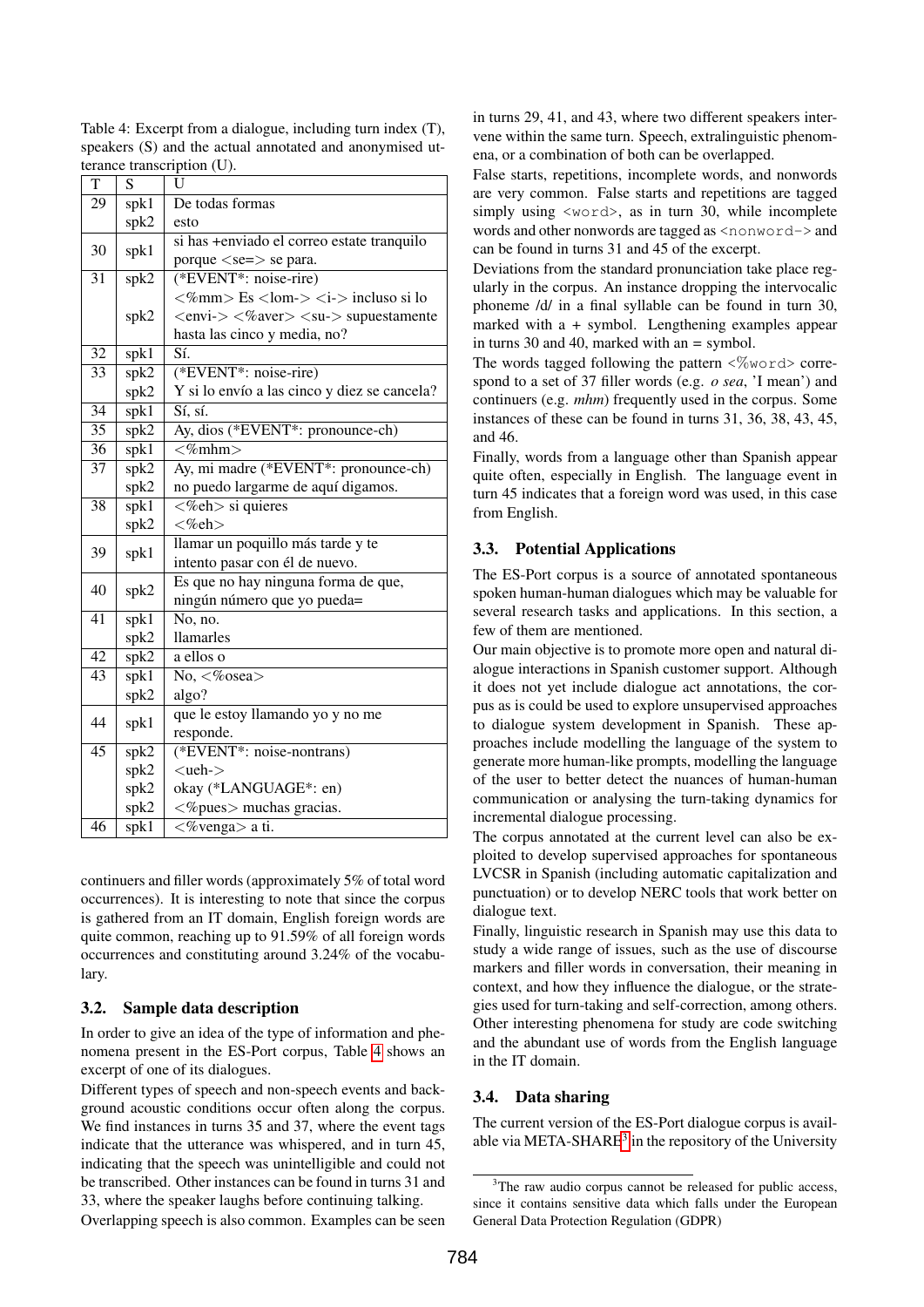| $\overline{\mathrm{T}}$ | S                 | U                                                                              |  |  |
|-------------------------|-------------------|--------------------------------------------------------------------------------|--|--|
| 29                      | spk1              | De todas formas                                                                |  |  |
|                         | spk2              | esto                                                                           |  |  |
| 30                      |                   | si has +enviado el correo estate tranquilo                                     |  |  |
|                         | spk1              | porque $\langle se=\rangle$ se para.                                           |  |  |
| $\overline{31}$         | spk2              | $*$ EVENT*: noise-rire)                                                        |  |  |
|                         |                   | $\langle %mm \rangle$ Es $\langle$ lom- $>\langle$ i- $>\rangle$ incluso si lo |  |  |
|                         | spk2              | $\langle envi->\langle\%aver\rangle\langle su->supusstante$                    |  |  |
|                         |                   | hasta las cinco y media, no?                                                   |  |  |
| 32                      | spk1              | Sí.                                                                            |  |  |
| 33                      | spk2              | (*EVENT*: noise-rire)                                                          |  |  |
|                         | spk2              | Y si lo envío a las cinco y diez se cancela?                                   |  |  |
| $\overline{34}$         | $s$ p $k1$        | Sí, sí.                                                                        |  |  |
| $\overline{35}$         | $s\overline{pk2}$ | Ay, dios (*EVENT*: pronounce-ch)                                               |  |  |
| $\overline{36}$         | spk1              | $\leq$ %mhm>                                                                   |  |  |
| 37                      | spk2              | Ay, mi madre (*EVENT*: pronounce-ch)                                           |  |  |
|                         | spk2              | no puedo largarme de aquí digamos.                                             |  |  |
| 38                      | spk1              | <%eh> si quieres                                                               |  |  |
|                         | spk2              | $<\!\%$ eh $>$                                                                 |  |  |
| 39                      | spk1              | llamar un poquillo más tarde y te                                              |  |  |
|                         |                   | intento pasar con él de nuevo.                                                 |  |  |
| 40                      | spk2              | Es que no hay ninguna forma de que,                                            |  |  |
|                         |                   | ningún número que yo pueda=                                                    |  |  |
| $\overline{41}$         | spk1              | No, no.                                                                        |  |  |
|                         | spk2              | <b>llamarles</b>                                                               |  |  |
| 42                      | spk2              | a ellos o                                                                      |  |  |
| 43                      | spk1              | $\overline{No}, \langle\% \text{osea}\rangle$                                  |  |  |
|                         | spk2              | algo?                                                                          |  |  |
| 44                      | spk1              | que le estoy llamando yo y no me                                               |  |  |
|                         |                   | responde.                                                                      |  |  |
| $\overline{45}$         | spk2              | (*EVENT*: noise-nontrans)                                                      |  |  |
|                         | spk2              | $<$ ueh- $>$                                                                   |  |  |
|                         | spk2              | okay (*LANGUAGE*: en)                                                          |  |  |
|                         | spk2              | $<$ %pues $>$ muchas gracias.                                                  |  |  |
| 46                      | spk1              | $\langle$ %venga> a ti.                                                        |  |  |

<span id="page-3-0"></span>Table 4: Excerpt from a dialogue, including turn index (T), speakers (S) and the actual annotated and anonymised utterance transcription (U).

continuers and filler words (approximately 5% of total word occurrences). It is interesting to note that since the corpus is gathered from an IT domain, English foreign words are quite common, reaching up to 91.59% of all foreign words occurrences and constituting around 3.24% of the vocabulary.

#### 3.2. Sample data description

In order to give an idea of the type of information and phenomena present in the ES-Port corpus, Table [4](#page-3-0) shows an excerpt of one of its dialogues.

Different types of speech and non-speech events and background acoustic conditions occur often along the corpus. We find instances in turns 35 and 37, where the event tags indicate that the utterance was whispered, and in turn 45, indicating that the speech was unintelligible and could not be transcribed. Other instances can be found in turns 31 and 33, where the speaker laughs before continuing talking.

Overlapping speech is also common. Examples can be seen

in turns 29, 41, and 43, where two different speakers intervene within the same turn. Speech, extralinguistic phenomena, or a combination of both can be overlapped.

False starts, repetitions, incomplete words, and nonwords are very common. False starts and repetitions are tagged simply using  $\langle word \rangle$ , as in turn 30, while incomplete words and other nonwords are tagged as  $\langle$ nonword- $\rangle$  and can be found in turns 31 and 45 of the excerpt.

Deviations from the standard pronunciation take place regularly in the corpus. An instance dropping the intervocalic phoneme /d/ in a final syllable can be found in turn 30, marked with a *+* symbol. Lengthening examples appear in turns 30 and 40, marked with an *=* symbol.

The words tagged following the pattern  $\langle\%$  word $\rangle$  correspond to a set of 37 filler words (e.g. *o sea*, 'I mean') and continuers (e.g. *mhm*) frequently used in the corpus. Some instances of these can be found in turns 31, 36, 38, 43, 45, and 46.

Finally, words from a language other than Spanish appear quite often, especially in English. The language event in turn 45 indicates that a foreign word was used, in this case from English.

#### 3.3. Potential Applications

The ES-Port corpus is a source of annotated spontaneous spoken human-human dialogues which may be valuable for several research tasks and applications. In this section, a few of them are mentioned.

Our main objective is to promote more open and natural dialogue interactions in Spanish customer support. Although it does not yet include dialogue act annotations, the corpus as is could be used to explore unsupervised approaches to dialogue system development in Spanish. These approaches include modelling the language of the system to generate more human-like prompts, modelling the language of the user to better detect the nuances of human-human communication or analysing the turn-taking dynamics for incremental dialogue processing.

The corpus annotated at the current level can also be exploited to develop supervised approaches for spontaneous LVCSR in Spanish (including automatic capitalization and punctuation) or to develop NERC tools that work better on dialogue text.

Finally, linguistic research in Spanish may use this data to study a wide range of issues, such as the use of discourse markers and filler words in conversation, their meaning in context, and how they influence the dialogue, or the strategies used for turn-taking and self-correction, among others. Other interesting phenomena for study are code switching and the abundant use of words from the English language in the IT domain.

## 3.4. Data sharing

The current version of the ES-Port dialogue corpus is avail-able via META-SHARE<sup>[3](#page-3-1)</sup> in the repository of the University

<span id="page-3-1"></span><sup>&</sup>lt;sup>3</sup>The raw audio corpus cannot be released for public access, since it contains sensitive data which falls under the European General Data Protection Regulation (GDPR)